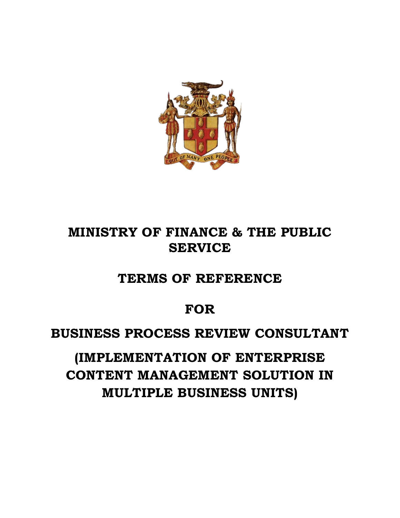

# **MINISTRY OF FINANCE & THE PUBLIC SERVICE**

**TERMS OF REFERENCE**

## **FOR**

## **BUSINESS PROCESS REVIEW CONSULTANT**

**(IMPLEMENTATION OF ENTERPRISE CONTENT MANAGEMENT SOLUTION IN MULTIPLE BUSINESS UNITS)**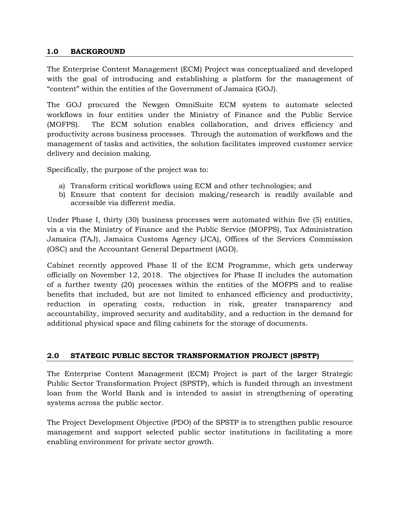#### **1.0 BACKGROUND**

The Enterprise Content Management (ECM) Project was conceptualized and developed with the goal of introducing and establishing a platform for the management of "content" within the entities of the Government of Jamaica (GOJ).

The GOJ procured the Newgen OmniSuite ECM system to automate selected workflows in four entities under the Ministry of Finance and the Public Service (MOFPS). The ECM solution enables collaboration, and drives efficiency and productivity across business processes. Through the automation of workflows and the management of tasks and activities, the solution facilitates improved customer service delivery and decision making.

Specifically, the purpose of the project was to:

- a) Transform critical workflows using ECM and other technologies; and
- b) Ensure that content for decision making/research is readily available and accessible via different media.

Under Phase I, thirty (30) business processes were automated within five (5) entities, vis a vis the Ministry of Finance and the Public Service (MOFPS), Tax Administration Jamaica (TAJ), Jamaica Customs Agency (JCA), Offices of the Services Commission (OSC) and the Accountant General Department (AGD).

Cabinet recently approved Phase II of the ECM Programme, which gets underway officially on November 12, 2018. The objectives for Phase II includes the automation of a further twenty (20) processes within the entities of the MOFPS and to realise benefits that included, but are not limited to enhanced efficiency and productivity, reduction in operating costs, reduction in risk, greater transparency and accountability, improved security and auditability, and a reduction in the demand for additional physical space and filing cabinets for the storage of documents.

#### **2.0 STATEGIC PUBLIC SECTOR TRANSFORMATION PROJECT (SPSTP)**

The Enterprise Content Management (ECM) Project is part of the larger Strategic Public Sector Transformation Project (SPSTP), which is funded through an investment loan from the World Bank and is intended to assist in strengthening of operating systems across the public sector.

The Project Development Objective (PDO) of the SPSTP is to strengthen public resource management and support selected public sector institutions in facilitating a more enabling environment for private sector growth.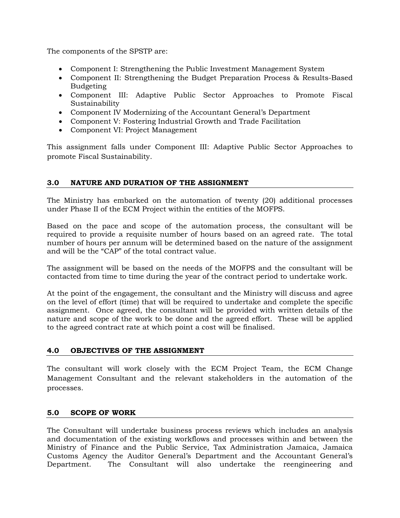The components of the SPSTP are:

- Component I: Strengthening the Public Investment Management System
- Component II: Strengthening the Budget Preparation Process & Results-Based Budgeting
- Component III: Adaptive Public Sector Approaches to Promote Fiscal Sustainability
- Component IV Modernizing of the Accountant General's Department
- Component V: Fostering Industrial Growth and Trade Facilitation
- Component VI: Project Management

This assignment falls under Component III: Adaptive Public Sector Approaches to promote Fiscal Sustainability.

## **3.0 NATURE AND DURATION OF THE ASSIGNMENT**

The Ministry has embarked on the automation of twenty (20) additional processes under Phase II of the ECM Project within the entities of the MOFPS.

Based on the pace and scope of the automation process, the consultant will be required to provide a requisite number of hours based on an agreed rate. The total number of hours per annum will be determined based on the nature of the assignment and will be the "CAP" of the total contract value.

The assignment will be based on the needs of the MOFPS and the consultant will be contacted from time to time during the year of the contract period to undertake work.

At the point of the engagement, the consultant and the Ministry will discuss and agree on the level of effort (time) that will be required to undertake and complete the specific assignment. Once agreed, the consultant will be provided with written details of the nature and scope of the work to be done and the agreed effort. These will be applied to the agreed contract rate at which point a cost will be finalised.

## **4.0 OBJECTIVES OF THE ASSIGNMENT**

The consultant will work closely with the ECM Project Team, the ECM Change Management Consultant and the relevant stakeholders in the automation of the processes.

#### **5.0 SCOPE OF WORK**

The Consultant will undertake business process reviews which includes an analysis and documentation of the existing workflows and processes within and between the Ministry of Finance and the Public Service, Tax Administration Jamaica, Jamaica Customs Agency the Auditor General's Department and the Accountant General's Department. The Consultant will also undertake the reengineering and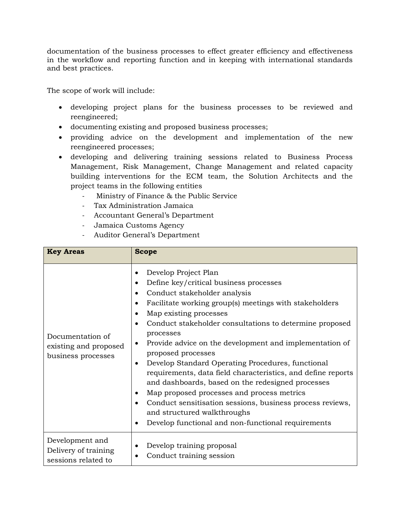documentation of the business processes to effect greater efficiency and effectiveness in the workflow and reporting function and in keeping with international standards and best practices.

The scope of work will include:

- developing project plans for the business processes to be reviewed and reengineered;
- documenting existing and proposed business processes;
- providing advice on the development and implementation of the new reengineered processes;
- developing and delivering training sessions related to Business Process Management, Risk Management, Change Management and related capacity building interventions for the ECM team, the Solution Architects and the project teams in the following entities
	- Ministry of Finance & the Public Service
	- Tax Administration Jamaica
	- Accountant General's Department
	- Jamaica Customs Agency
	- Auditor General's Department

| <b>Key Areas</b>                                                | <b>Scope</b>                                                                                                                                                                                                                                                                                                                                                                                                                                                                                                                                                                                                                                                                                                                                                                                                  |  |
|-----------------------------------------------------------------|---------------------------------------------------------------------------------------------------------------------------------------------------------------------------------------------------------------------------------------------------------------------------------------------------------------------------------------------------------------------------------------------------------------------------------------------------------------------------------------------------------------------------------------------------------------------------------------------------------------------------------------------------------------------------------------------------------------------------------------------------------------------------------------------------------------|--|
| Documentation of<br>existing and proposed<br>business processes | Develop Project Plan<br>Define key/critical business processes<br>$\bullet$<br>Conduct stakeholder analysis<br>Facilitate working group(s) meetings with stakeholders<br>$\bullet$<br>Map existing processes<br>$\bullet$<br>Conduct stakeholder consultations to determine proposed<br>$\bullet$<br>processes<br>Provide advice on the development and implementation of<br>$\bullet$<br>proposed processes<br>Develop Standard Operating Procedures, functional<br>$\bullet$<br>requirements, data field characteristics, and define reports<br>and dashboards, based on the redesigned processes<br>Map proposed processes and process metrics<br>٠<br>Conduct sensitisation sessions, business process reviews,<br>and structured walkthroughs<br>Develop functional and non-functional requirements<br>٠ |  |
| Development and<br>Delivery of training<br>sessions related to  | Develop training proposal<br>Conduct training session                                                                                                                                                                                                                                                                                                                                                                                                                                                                                                                                                                                                                                                                                                                                                         |  |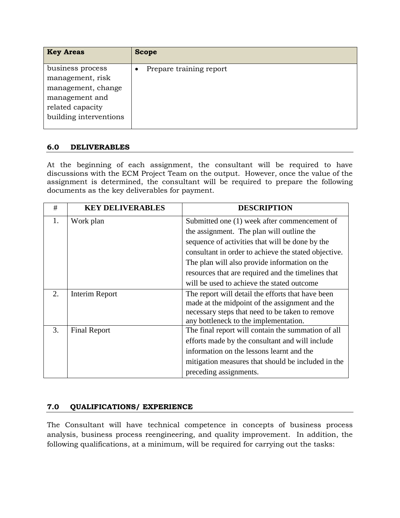| <b>Key Areas</b>                       | <b>Scope</b>            |
|----------------------------------------|-------------------------|
| business process                       | Prepare training report |
| management, risk<br>management, change |                         |
| management and                         |                         |
| related capacity                       |                         |
| building interventions                 |                         |

## **6.0 DELIVERABLES**

At the beginning of each assignment, the consultant will be required to have discussions with the ECM Project Team on the output. However, once the value of the assignment is determined, the consultant will be required to prepare the following documents as the key deliverables for payment.

| #  | <b>KEY DELIVERABLES</b> | <b>DESCRIPTION</b>                                   |
|----|-------------------------|------------------------------------------------------|
| 1. | Work plan               | Submitted one (1) week after commencement of         |
|    |                         | the assignment. The plan will outline the            |
|    |                         | sequence of activities that will be done by the      |
|    |                         | consultant in order to achieve the stated objective. |
|    |                         | The plan will also provide information on the        |
|    |                         | resources that are required and the timelines that   |
|    |                         | will be used to achieve the stated outcome           |
| 2. | Interim Report          | The report will detail the efforts that have been    |
|    |                         | made at the midpoint of the assignment and the       |
|    |                         | necessary steps that need to be taken to remove      |
|    |                         | any bottleneck to the implementation.                |
| 3. | <b>Final Report</b>     | The final report will contain the summation of all   |
|    |                         | efforts made by the consultant and will include      |
|    |                         | information on the lessons learnt and the            |
|    |                         | mitigation measures that should be included in the   |
|    |                         | preceding assignments.                               |

## **7.0 QUALIFICATIONS/ EXPERIENCE**

The Consultant will have technical competence in concepts of business process analysis, business process reengineering, and quality improvement. In addition, the following qualifications, at a minimum, will be required for carrying out the tasks: